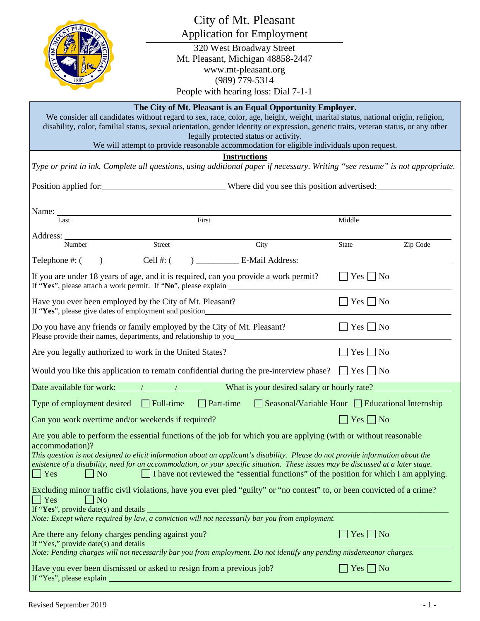| We consider all candidates without regard to sex, race, color, age, height, weight, marital status, national origin, religion,<br>disability, color, familial status, sexual orientation, gender identity or expression, genetic traits, veteran status, or any other                                                                                                                                                                                                                                                                        | City of Mt. Pleasant<br><b>Application for Employment</b><br>320 West Broadway Street<br>Mt. Pleasant, Michigan 48858-2447<br>www.mt-pleasant.org<br>(989) 779-5314<br>People with hearing loss: Dial 7-1-1<br>The City of Mt. Pleasant is an Equal Opportunity Employer.<br>legally protected status or activity.<br>We will attempt to provide reasonable accommodation for eligible individuals upon request.<br><b>Instructions</b> |                                                             |                          |          |  |
|----------------------------------------------------------------------------------------------------------------------------------------------------------------------------------------------------------------------------------------------------------------------------------------------------------------------------------------------------------------------------------------------------------------------------------------------------------------------------------------------------------------------------------------------|-----------------------------------------------------------------------------------------------------------------------------------------------------------------------------------------------------------------------------------------------------------------------------------------------------------------------------------------------------------------------------------------------------------------------------------------|-------------------------------------------------------------|--------------------------|----------|--|
| Type or print in ink. Complete all questions, using additional paper if necessary. Writing "see resume" is not appropriate.                                                                                                                                                                                                                                                                                                                                                                                                                  |                                                                                                                                                                                                                                                                                                                                                                                                                                         |                                                             |                          |          |  |
| Position applied for:<br>Where did you see this position advertised:                                                                                                                                                                                                                                                                                                                                                                                                                                                                         |                                                                                                                                                                                                                                                                                                                                                                                                                                         |                                                             |                          |          |  |
| Last                                                                                                                                                                                                                                                                                                                                                                                                                                                                                                                                         | $\overline{First}$                                                                                                                                                                                                                                                                                                                                                                                                                      |                                                             | Middle                   |          |  |
| Address: Number Street                                                                                                                                                                                                                                                                                                                                                                                                                                                                                                                       |                                                                                                                                                                                                                                                                                                                                                                                                                                         | City                                                        | State                    | Zip Code |  |
|                                                                                                                                                                                                                                                                                                                                                                                                                                                                                                                                              |                                                                                                                                                                                                                                                                                                                                                                                                                                         |                                                             |                          |          |  |
| If you are under 18 years of age, and it is required, can you provide a work permit?<br>If "Yes", please attach a work permit. If "No", please explain                                                                                                                                                                                                                                                                                                                                                                                       |                                                                                                                                                                                                                                                                                                                                                                                                                                         |                                                             | $\Box$ Yes $\Box$ No     |          |  |
| Have you ever been employed by the City of Mt. Pleasant?<br>If "Yes", please give dates of employment and position                                                                                                                                                                                                                                                                                                                                                                                                                           |                                                                                                                                                                                                                                                                                                                                                                                                                                         |                                                             | $\Box$ Yes $\Box$ No     |          |  |
| Do you have any friends or family employed by the City of Mt. Pleasant?<br>Please provide their names, departments, and relationship to you                                                                                                                                                                                                                                                                                                                                                                                                  |                                                                                                                                                                                                                                                                                                                                                                                                                                         |                                                             | $\Box$ Yes $\Box$ No     |          |  |
| Are you legally authorized to work in the United States?                                                                                                                                                                                                                                                                                                                                                                                                                                                                                     |                                                                                                                                                                                                                                                                                                                                                                                                                                         |                                                             | $Yes \mid \text{No}$     |          |  |
| Would you like this application to remain confidential during the pre-interview phase? $\Box$ Yes $\Box$ No                                                                                                                                                                                                                                                                                                                                                                                                                                  |                                                                                                                                                                                                                                                                                                                                                                                                                                         |                                                             |                          |          |  |
| Date available for work:                                                                                                                                                                                                                                                                                                                                                                                                                                                                                                                     |                                                                                                                                                                                                                                                                                                                                                                                                                                         | What is your desired salary or hourly rate?                 |                          |          |  |
| Type of employment desired                                                                                                                                                                                                                                                                                                                                                                                                                                                                                                                   | $\Box$ Part-time<br>$\Box$ Full-time                                                                                                                                                                                                                                                                                                                                                                                                    | $\Box$ Seasonal/Variable Hour $\Box$ Educational Internship |                          |          |  |
| Can you work overtime and/or weekends if required?                                                                                                                                                                                                                                                                                                                                                                                                                                                                                           |                                                                                                                                                                                                                                                                                                                                                                                                                                         |                                                             | $\Box$ Yes $\Box$ No     |          |  |
| Are you able to perform the essential functions of the job for which you are applying (with or without reasonable<br>accommodation)?<br>This question is not designed to elicit information about an applicant's disability. Please do not provide information about the<br>existence of a disability, need for an accommodation, or your specific situation. These issues may be discussed at a later stage.<br>$\Box$ I have not reviewed the "essential functions" of the position for which I am applying.<br>$\Box$ Yes<br>$\vert$   No |                                                                                                                                                                                                                                                                                                                                                                                                                                         |                                                             |                          |          |  |
| Excluding minor traffic civil violations, have you ever pled "guilty" or "no contest" to, or been convicted of a crime?<br>$\Box$ Yes<br>$\vert$ $\vert$ No<br>If "Yes", provide date(s) and details<br>Note: Except where required by law, a conviction will not necessarily bar you from employment.                                                                                                                                                                                                                                       |                                                                                                                                                                                                                                                                                                                                                                                                                                         |                                                             |                          |          |  |
| Are there any felony charges pending against you?                                                                                                                                                                                                                                                                                                                                                                                                                                                                                            |                                                                                                                                                                                                                                                                                                                                                                                                                                         |                                                             | $Yes \nightharpoonup No$ |          |  |
| If "Yes," provide date(s) and details ______<br>Note: Pending charges will not necessarily bar you from employment. Do not identify any pending misdemeanor charges.                                                                                                                                                                                                                                                                                                                                                                         |                                                                                                                                                                                                                                                                                                                                                                                                                                         |                                                             |                          |          |  |
| Have you ever been dismissed or asked to resign from a previous job?<br>If "Yes", please explain                                                                                                                                                                                                                                                                                                                                                                                                                                             | <b>Service Service</b>                                                                                                                                                                                                                                                                                                                                                                                                                  |                                                             | $\vert$ Yes $\vert$ No   |          |  |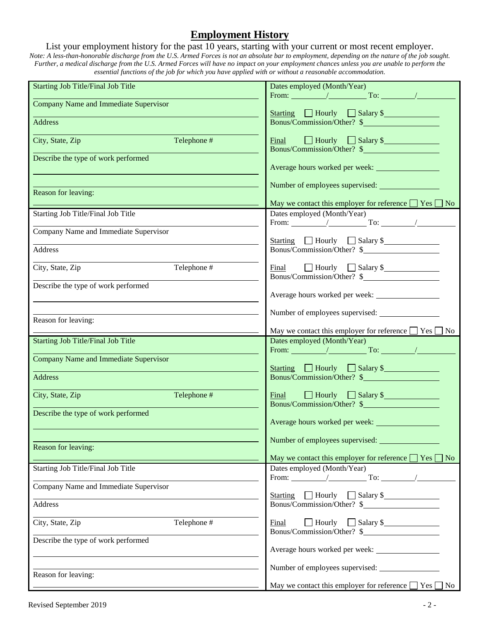## **Employment History**

List your employment history for the past 10 years, starting with your current or most recent employer. *Note: A less-than-honorable discharge from the U.S. Armed Forces is not an absolute bar to employment, depending on the nature of the job sought. Further, a medical discharge from the U.S. Armed Forces will have no impact on your employment chances unless you are unable to perform the essential functions of the job for which you have applied with or without a reasonable accommodation.*

| <b>Starting Job Title/Final Job Title</b>     | Dates employed (Month/Year)                                     |
|-----------------------------------------------|-----------------------------------------------------------------|
| Company Name and Immediate Supervisor         | From: $\sqrt{ }$ To: $\sqrt{ }$                                 |
|                                               | Starting Hourly Salary \$                                       |
| <b>Address</b>                                | Bonus/Commission/Other? \$                                      |
| Telephone #<br>City, State, Zip               | Final Hourly Salary \$                                          |
|                                               | Bonus/Commission/Other? \$                                      |
| Describe the type of work performed           |                                                                 |
|                                               |                                                                 |
| Reason for leaving:                           |                                                                 |
|                                               | May we contact this employer for reference $\Box$ Yes $\Box$ No |
| Starting Job Title/Final Job Title            | Dates employed (Month/Year)                                     |
|                                               | From: $\sqrt{ }$ To: $\sqrt{ }$                                 |
| Company Name and Immediate Supervisor         | Starting Hourly Salary \$                                       |
| Address                                       | Bonus/Commission/Other? \$                                      |
|                                               |                                                                 |
| Telephone #<br>City, State, Zip               | $Final$ $[$ Hourly $[$ Salary \$<br>Bonus/Commission/Other? \$  |
| Describe the type of work performed           |                                                                 |
|                                               | Average hours worked per week:                                  |
|                                               | Number of employees supervised:                                 |
| Reason for leaving:                           |                                                                 |
|                                               | May we contact this employer for reference $\Box$ Yes $\Box$ No |
| <b>Starting Job Title/Final Job Title</b>     | Dates employed (Month/Year)<br>From: $\angle$ To: $\angle$      |
| Company Name and Immediate Supervisor         |                                                                 |
|                                               | Starting Hourly Salary \$                                       |
| <b>Address</b>                                | Bonus/Commission/Other? \$                                      |
| Telephone #<br>City, State, Zip               | Final Hourly Salary \$                                          |
|                                               | Bonus/Commission/Other? \$                                      |
| Describe the type of work performed           |                                                                 |
|                                               |                                                                 |
| Reason for leaving:                           |                                                                 |
|                                               | May we contact this employer for reference $\Box$ Yes $\Box$ No |
| <b>Starting Job Title/Final Job Title</b>     | Dates employed (Month/Year)                                     |
|                                               | From: $\sqrt{ }$ To: $\sqrt{ }$                                 |
| Company Name and Immediate Supervisor         | $Starting \tIW$ Hourly $Isalary \tIW$                           |
| Address                                       | Bonus/Commission/Other? \$                                      |
|                                               |                                                                 |
|                                               |                                                                 |
| Telephone $\overline{\#}$<br>City, State, Zip | $\Box$ Hourly $\Box$ Salary \$<br>Final                         |
| Describe the type of work performed           | Bonus/Commission/Other? \$                                      |
|                                               |                                                                 |
|                                               |                                                                 |
| Reason for leaving:                           | May we contact this employer for reference $\Box$ Yes $\Box$ No |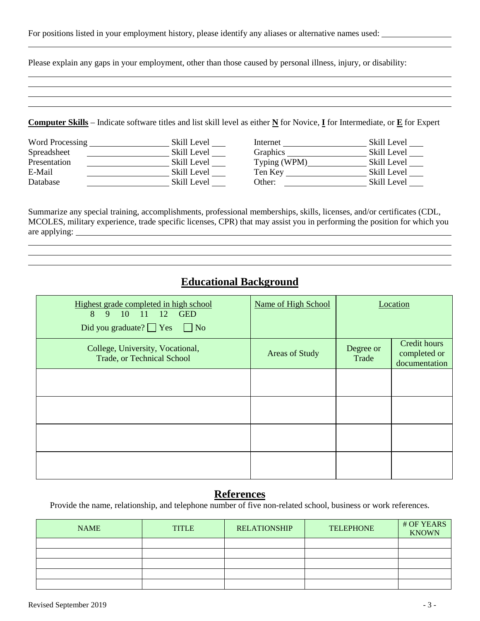|  |  |  |  | For positions listed in your employment history, please identify any aliases or alternative names used: |  |
|--|--|--|--|---------------------------------------------------------------------------------------------------------|--|
|  |  |  |  |                                                                                                         |  |

Please explain any gaps in your employment, other than those caused by personal illness, injury, or disability:

#### **Computer Skills** – Indicate software titles and list skill level as either **N** for Novice, **I** for Intermediate, or **E** for Expert

| Word Processing | Skill Level | Internet     | Skill Level |
|-----------------|-------------|--------------|-------------|
| Spreadsheet     | Skill Level | Graphics     | Skill Level |
| Presentation    | Skill Level | Typing (WPM) | Skill Level |
| E-Mail          | Skill Level | Ten Key      | Skill Level |
| Database        | Skill Level | Other:       | Skill Level |

| Skill Level |
|-------------|
| Skill Level |
| Skill Level |
| Skill Level |
| Skill Level |
|             |

Summarize any special training, accomplishments, professional memberships, skills, licenses, and/or certificates (CDL, MCOLES, military experience, trade specific licenses, CPR) that may assist you in performing the position for which you are applying:

# **Educational Background**

| Highest grade completed in high school<br>8<br>9 10 11 12 GED<br>Did you graduate? $\Box$ Yes $\Box$ No | Name of High School | Location           |                                                      |
|---------------------------------------------------------------------------------------------------------|---------------------|--------------------|------------------------------------------------------|
| College, University, Vocational,<br>Trade, or Technical School                                          | Areas of Study      | Degree or<br>Trade | <b>Credit hours</b><br>completed or<br>documentation |
|                                                                                                         |                     |                    |                                                      |
|                                                                                                         |                     |                    |                                                      |
|                                                                                                         |                     |                    |                                                      |
|                                                                                                         |                     |                    |                                                      |

## **References**

Provide the name, relationship, and telephone number of five non-related school, business or work references.

| <b>NAME</b> | <b>TITLE</b> | <b>RELATIONSHIP</b> | <b>TELEPHONE</b> | # OF YEARS<br><b>KNOWN</b> |
|-------------|--------------|---------------------|------------------|----------------------------|
|             |              |                     |                  |                            |
|             |              |                     |                  |                            |
|             |              |                     |                  |                            |
|             |              |                     |                  |                            |
|             |              |                     |                  |                            |